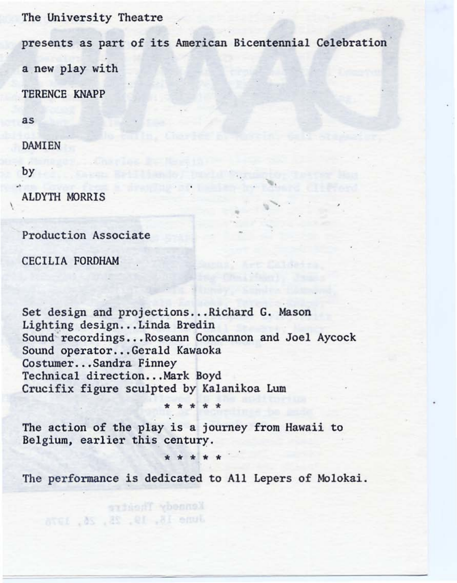The University Theatre

presents as part of its American Bicentennial Celebration a new play with

•

TERENCE KNAPP

as

DAMIEN

by

...

 $\overline{\phantom{a}}$ 

**ALDYTH MORRIS** 

Production Associate

CECILIA FORDHAM

Set design and projections...Richard G. Mason Lighting design...Linda Bredin Sound recordings...Roseann Concannon and Joel Aycock Sound operator...Gerald Kawaoka Costumer...Sandra Finney Technical direction...Mark Boyd Crucifix figure sculpted by Kalanikoa Lum

The action of the play is a journey from Hawaii to Belgium, earlier this century.

\* \* \* \*

The performance is dedicated to All Lepers of Molokai.

June 18, 19, 28, 26, 1976